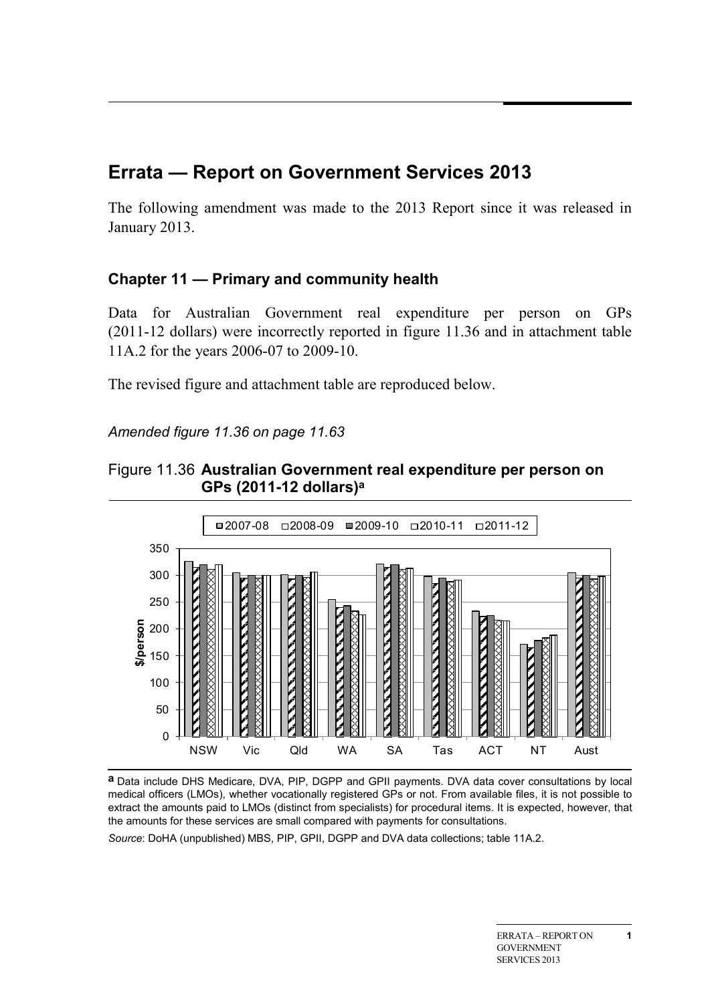## **Errata — Report on Government Services 2013**

The following amendment was made to the 2013 Report since it was released in January 2013.

## **Chapter 11 — Primary and community health**

Data for Australian Government real expenditure per person on GPs (2011-12 dollars) were incorrectly reported in figure 11.36 and in attachment table 11A.2 for the years 2006-07 to 2009-10.

The revised figure and attachment table are reproduced below.

*Amended figure 11.36 on page 11.63*





**a** Data include DHS Medicare, DVA, PIP, DGPP and GPII payments. DVA data cover consultations by local medical officers (LMOs), whether vocationally registered GPs or not. From available files, it is not possible to extract the amounts paid to LMOs (distinct from specialists) for procedural items. It is expected, however, that the amounts for these services are small compared with payments for consultations.

*Source*: DoHA (unpublished) MBS, PIP, GPII, DGPP and DVA data collections; table 11A.2.

**1**